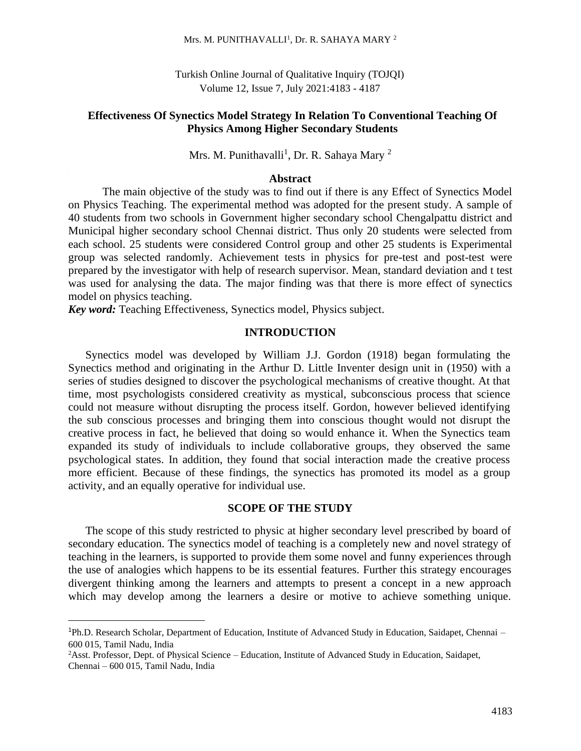#### Mrs. M. PUNITHAVALLI<sup>1</sup>, Dr. R. SAHAYA MARY<sup>2</sup>

Turkish Online Journal of Qualitative Inquiry (TOJQI) Volume 12, Issue 7, July 2021:4183 - 4187

### **Effectiveness Of Synectics Model Strategy In Relation To Conventional Teaching Of Physics Among Higher Secondary Students**

Mrs. M. Punithavalli<sup>1</sup>, Dr. R. Sahaya Mary<sup>2</sup>

### **Abstract**

The main objective of the study was to find out if there is any Effect of Synectics Model on Physics Teaching. The experimental method was adopted for the present study. A sample of 40 students from two schools in Government higher secondary school Chengalpattu district and Municipal higher secondary school Chennai district. Thus only 20 students were selected from each school. 25 students were considered Control group and other 25 students is Experimental group was selected randomly. Achievement tests in physics for pre-test and post-test were prepared by the investigator with help of research supervisor. Mean, standard deviation and t test was used for analysing the data. The major finding was that there is more effect of synectics model on physics teaching.

*Key word:* Teaching Effectiveness, Synectics model, Physics subject.

### **INTRODUCTION**

Synectics model was developed by William J.J. Gordon (1918) began formulating the Synectics method and originating in the Arthur D. Little Inventer design unit in (1950) with a series of studies designed to discover the psychological mechanisms of creative thought. At that time, most psychologists considered creativity as mystical, subconscious process that science could not measure without disrupting the process itself. Gordon, however believed identifying the sub conscious processes and bringing them into conscious thought would not disrupt the creative process in fact, he believed that doing so would enhance it. When the Synectics team expanded its study of individuals to include collaborative groups, they observed the same psychological states. In addition, they found that social interaction made the creative process more efficient. Because of these findings, the synectics has promoted its model as a group activity, and an equally operative for individual use.

#### **SCOPE OF THE STUDY**

The scope of this study restricted to physic at higher secondary level prescribed by board of secondary education. The synectics model of teaching is a completely new and novel strategy of teaching in the learners, is supported to provide them some novel and funny experiences through the use of analogies which happens to be its essential features. Further this strategy encourages divergent thinking among the learners and attempts to present a concept in a new approach which may develop among the learners a desire or motive to achieve something unique.

<sup>1</sup>Ph.D. Research Scholar, Department of Education, Institute of Advanced Study in Education, Saidapet, Chennai – 600 015, Tamil Nadu, India

<sup>2</sup>Asst. Professor, Dept. of Physical Science – Education, Institute of Advanced Study in Education, Saidapet, Chennai – 600 015, Tamil Nadu, India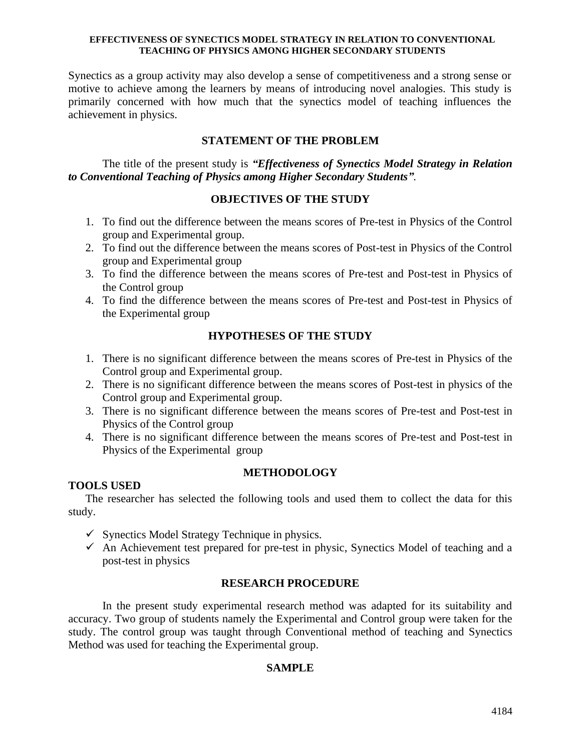#### **EFFECTIVENESS OF SYNECTICS MODEL STRATEGY IN RELATION TO CONVENTIONAL TEACHING OF PHYSICS AMONG HIGHER SECONDARY STUDENTS**

Synectics as a group activity may also develop a sense of competitiveness and a strong sense or motive to achieve among the learners by means of introducing novel analogies. This study is primarily concerned with how much that the synectics model of teaching influences the achievement in physics.

## **STATEMENT OF THE PROBLEM**

The title of the present study is *"Effectiveness of Synectics Model Strategy in Relation to Conventional Teaching of Physics among Higher Secondary Students".*

## **OBJECTIVES OF THE STUDY**

- 1. To find out the difference between the means scores of Pre-test in Physics of the Control group and Experimental group.
- 2. To find out the difference between the means scores of Post-test in Physics of the Control group and Experimental group
- 3. To find the difference between the means scores of Pre-test and Post-test in Physics of the Control group
- 4. To find the difference between the means scores of Pre-test and Post-test in Physics of the Experimental group

## **HYPOTHESES OF THE STUDY**

- 1. There is no significant difference between the means scores of Pre-test in Physics of the Control group and Experimental group.
- 2. There is no significant difference between the means scores of Post-test in physics of the Control group and Experimental group.
- 3. There is no significant difference between the means scores of Pre-test and Post-test in Physics of the Control group
- 4. There is no significant difference between the means scores of Pre-test and Post-test in Physics of the Experimental group

#### **METHODOLOGY**

#### **TOOLS USED**

The researcher has selected the following tools and used them to collect the data for this study.

- $\checkmark$  Synectics Model Strategy Technique in physics.
- $\checkmark$  An Achievement test prepared for pre-test in physic, Synectics Model of teaching and a post-test in physics

#### **RESEARCH PROCEDURE**

In the present study experimental research method was adapted for its suitability and accuracy. Two group of students namely the Experimental and Control group were taken for the study. The control group was taught through Conventional method of teaching and Synectics Method was used for teaching the Experimental group.

## **SAMPLE**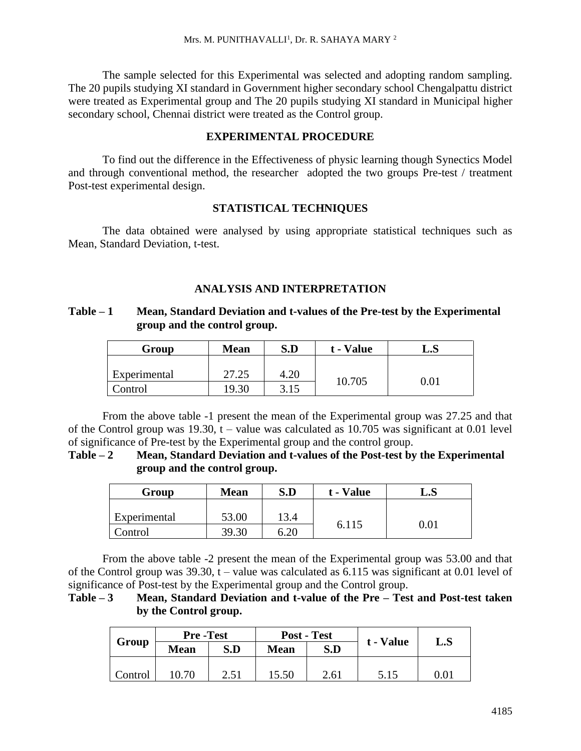The sample selected for this Experimental was selected and adopting random sampling. The 20 pupils studying XI standard in Government higher secondary school Chengalpattu district were treated as Experimental group and The 20 pupils studying XI standard in Municipal higher secondary school, Chennai district were treated as the Control group.

### **EXPERIMENTAL PROCEDURE**

To find out the difference in the Effectiveness of physic learning though Synectics Model and through conventional method, the researcher adopted the two groups Pre-test / treatment Post-test experimental design.

## **STATISTICAL TECHNIQUES**

The data obtained were analysed by using appropriate statistical techniques such as Mean, Standard Deviation, t-test.

## **ANALYSIS AND INTERPRETATION**

## **Table – 1 Mean, Standard Deviation and t-values of the Pre-test by the Experimental group and the control group.**

| Group        | <b>Mean</b> | S.D  | t - Value | L.S |  |
|--------------|-------------|------|-----------|-----|--|
| Experimental | 27.25       | 4.20 |           |     |  |
| Control      | 19.30       | 3.15 | 10.705    |     |  |

From the above table -1 present the mean of the Experimental group was 27.25 and that of the Control group was 19.30,  $t -$  value was calculated as 10.705 was significant at 0.01 level of significance of Pre-test by the Experimental group and the control group.

**Table – 2 Mean, Standard Deviation and t-values of the Post-test by the Experimental group and the control group.**

| Group        | <b>Mean</b> | S.D  | t - Value | $\mathbf{L.S}$ |  |
|--------------|-------------|------|-----------|----------------|--|
| Experimental | 53.00       | 13.4 |           |                |  |
| Control      | 39.30       | 6.20 | 6.115     | 0.01           |  |

From the above table -2 present the mean of the Experimental group was 53.00 and that of the Control group was  $39.30$ , t – value was calculated as  $6.115$  was significant at 0.01 level of significance of Post-test by the Experimental group and the Control group.

**Table – 3 Mean, Standard Deviation and t-value of the Pre – Test and Post-test taken by the Control group.**

|         | <b>Pre-Test</b> |      | Post - Test |      |           |                |
|---------|-----------------|------|-------------|------|-----------|----------------|
| Group   | <b>Mean</b>     | S.D  | <b>Mean</b> | S.D  | t - Value | $\mathbf{L.S}$ |
|         |                 |      |             |      |           |                |
| Control | 10.70           | 2.51 | 15.50       | 2.61 | 5.15      | $0.01\,$       |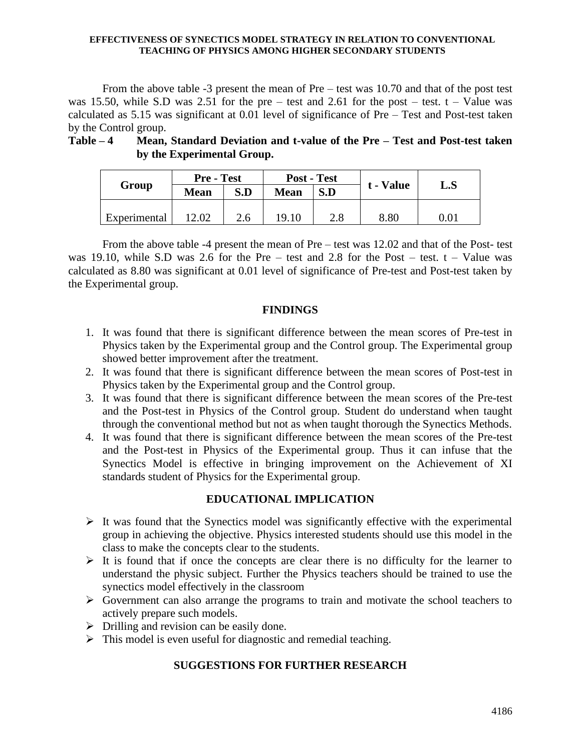#### **EFFECTIVENESS OF SYNECTICS MODEL STRATEGY IN RELATION TO CONVENTIONAL TEACHING OF PHYSICS AMONG HIGHER SECONDARY STUDENTS**

From the above table -3 present the mean of Pre – test was 10.70 and that of the post test was 15.50, while S.D was 2.51 for the pre – test and 2.61 for the post – test.  $t -$ Value was calculated as 5.15 was significant at 0.01 level of significance of Pre – Test and Post-test taken by the Control group.

## **Table – 4 Mean, Standard Deviation and t-value of the Pre – Test and Post-test taken by the Experimental Group.**

| Group        | <b>Pre</b> - Test |     | Post - Test |     |           |     |
|--------------|-------------------|-----|-------------|-----|-----------|-----|
|              | <b>Mean</b>       | S.D | <b>Mean</b> | S.D | t - Value | L.S |
|              |                   |     |             |     |           |     |
| Experimental | 2.02              | 2.6 | 19.10       | 2.8 | 8.80      |     |

From the above table -4 present the mean of Pre – test was 12.02 and that of the Post- test was 19.10, while S.D was 2.6 for the Pre – test and 2.8 for the Post – test.  $t -$ Value was calculated as 8.80 was significant at 0.01 level of significance of Pre-test and Post-test taken by the Experimental group.

## **FINDINGS**

- 1. It was found that there is significant difference between the mean scores of Pre-test in Physics taken by the Experimental group and the Control group. The Experimental group showed better improvement after the treatment.
- 2. It was found that there is significant difference between the mean scores of Post-test in Physics taken by the Experimental group and the Control group.
- 3. It was found that there is significant difference between the mean scores of the Pre-test and the Post-test in Physics of the Control group. Student do understand when taught through the conventional method but not as when taught thorough the Synectics Methods.
- 4. It was found that there is significant difference between the mean scores of the Pre-test and the Post-test in Physics of the Experimental group. Thus it can infuse that the Synectics Model is effective in bringing improvement on the Achievement of XI standards student of Physics for the Experimental group.

# **EDUCATIONAL IMPLICATION**

- ➢ It was found that the Synectics model was significantly effective with the experimental group in achieving the objective. Physics interested students should use this model in the class to make the concepts clear to the students.
- $\triangleright$  It is found that if once the concepts are clear there is no difficulty for the learner to understand the physic subject. Further the Physics teachers should be trained to use the synectics model effectively in the classroom
- ➢ Government can also arrange the programs to train and motivate the school teachers to actively prepare such models.
- $\triangleright$  Drilling and revision can be easily done.
- ➢ This model is even useful for diagnostic and remedial teaching.

# **SUGGESTIONS FOR FURTHER RESEARCH**